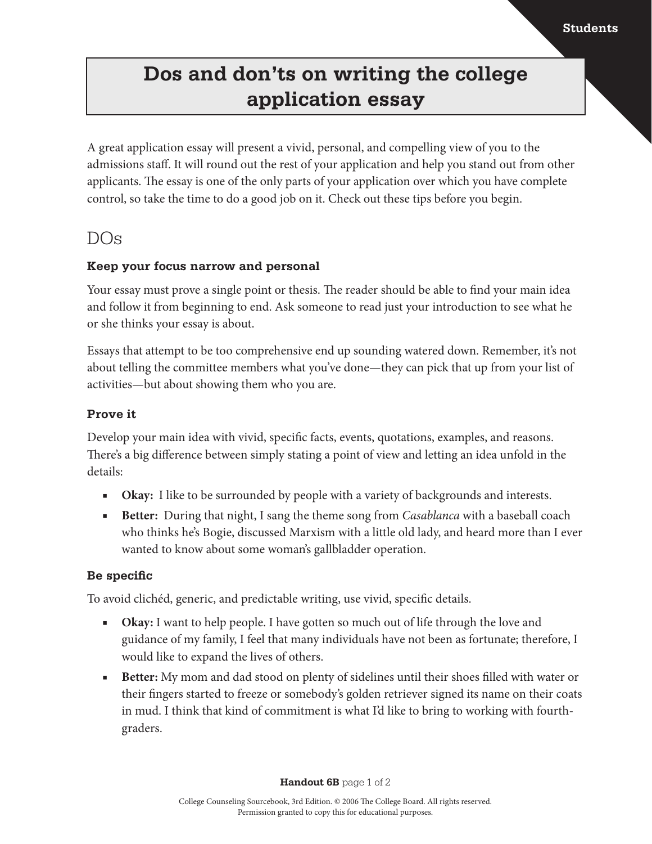## **Dos and don'ts on writing the college application essay**

A great application essay will present a vivid, personal, and compelling view of you to the admissions staff. It will round out the rest of your application and help you stand out from other applicants. The essay is one of the only parts of your application over which you have complete control, so take the time to do a good job on it. Check out these tips before you begin.

### DOs

### **Keep your focus narrow and personal**

Your essay must prove a single point or thesis. The reader should be able to find your main idea and follow it from beginning to end. Ask someone to read just your introduction to see what he or she thinks your essay is about.

Essays that attempt to be too comprehensive end up sounding watered down. Remember, it's not about telling the committee members what you've done—they can pick that up from your list of activities—but about showing them who you are.

### **Prove it**

Develop your main idea with vivid, specific facts, events, quotations, examples, and reasons. There's a big difference between simply stating a point of view and letting an idea unfold in the details:

- **Okay:** I like to be surrounded by people with a variety of backgrounds and interests.
- **Better:** During that night, I sang the theme song from *Casablanca* with a baseball coach who thinks he's Bogie, discussed Marxism with a little old lady, and heard more than I ever wanted to know about some woman's gallbladder operation.

### **Be specific**

To avoid clichéd, generic, and predictable writing, use vivid, specific details.

- **Okay:** I want to help people. I have gotten so much out of life through the love and guidance of my family, I feel that many individuals have not been as fortunate; therefore, I would like to expand the lives of others.
- **Better:** My mom and dad stood on plenty of sidelines until their shoes filled with water or their fingers started to freeze or somebody's golden retriever signed its name on their coats in mud. I think that kind of commitment is what I'd like to bring to working with fourthgraders.